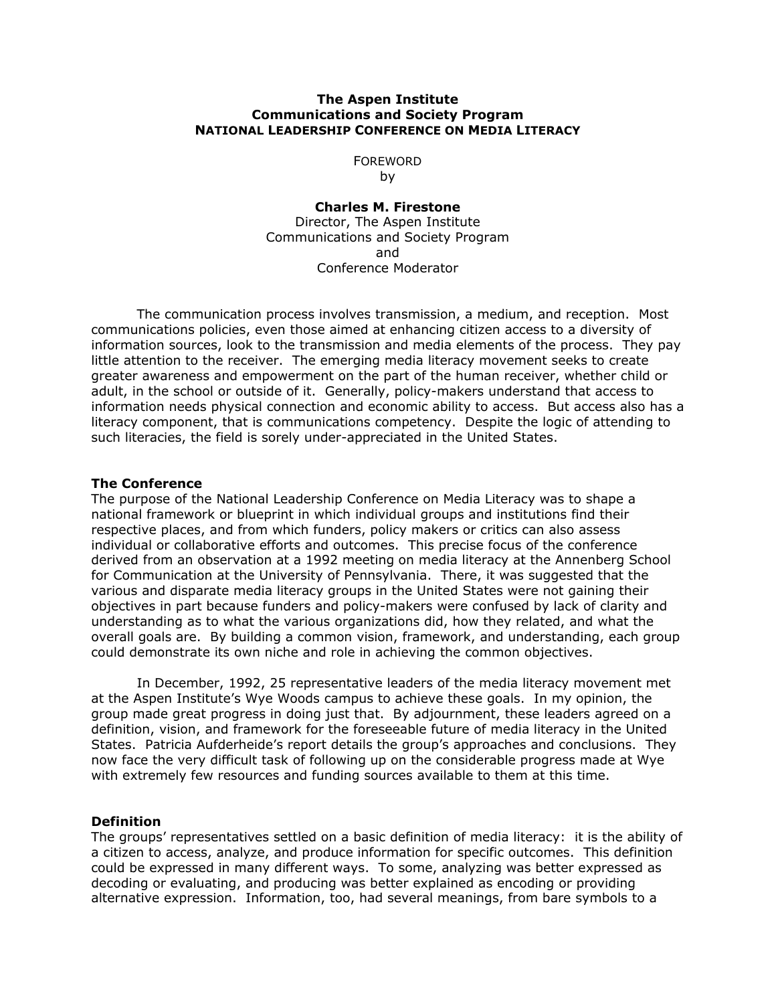## **The Aspen Institute Communications and Society Program NATIONAL LEADERSHIP CONFERENCE ON MEDIA LITERACY**

# FOREWORD

by

**Charles M. Firestone**  Director, The Aspen Institute Communications and Society Program and Conference Moderator

 The communication process involves transmission, a medium, and reception. Most communications policies, even those aimed at enhancing citizen access to a diversity of information sources, look to the transmission and media elements of the process. They pay little attention to the receiver. The emerging media literacy movement seeks to create greater awareness and empowerment on the part of the human receiver, whether child or adult, in the school or outside of it. Generally, policy-makers understand that access to information needs physical connection and economic ability to access. But access also has a literacy component, that is communications competency. Despite the logic of attending to such literacies, the field is sorely under-appreciated in the United States.

## **The Conference**

The purpose of the National Leadership Conference on Media Literacy was to shape a national framework or blueprint in which individual groups and institutions find their respective places, and from which funders, policy makers or critics can also assess individual or collaborative efforts and outcomes. This precise focus of the conference derived from an observation at a 1992 meeting on media literacy at the Annenberg School for Communication at the University of Pennsylvania. There, it was suggested that the various and disparate media literacy groups in the United States were not gaining their objectives in part because funders and policy-makers were confused by lack of clarity and understanding as to what the various organizations did, how they related, and what the overall goals are. By building a common vision, framework, and understanding, each group could demonstrate its own niche and role in achieving the common objectives.

 In December, 1992, 25 representative leaders of the media literacy movement met at the Aspen Institute's Wye Woods campus to achieve these goals. In my opinion, the group made great progress in doing just that. By adjournment, these leaders agreed on a definition, vision, and framework for the foreseeable future of media literacy in the United States. Patricia Aufderheide's report details the group's approaches and conclusions. They now face the very difficult task of following up on the considerable progress made at Wye with extremely few resources and funding sources available to them at this time.

#### **Definition**

The groups' representatives settled on a basic definition of media literacy: it is the ability of a citizen to access, analyze, and produce information for specific outcomes. This definition could be expressed in many different ways. To some, analyzing was better expressed as decoding or evaluating, and producing was better explained as encoding or providing alternative expression. Information, too, had several meanings, from bare symbols to a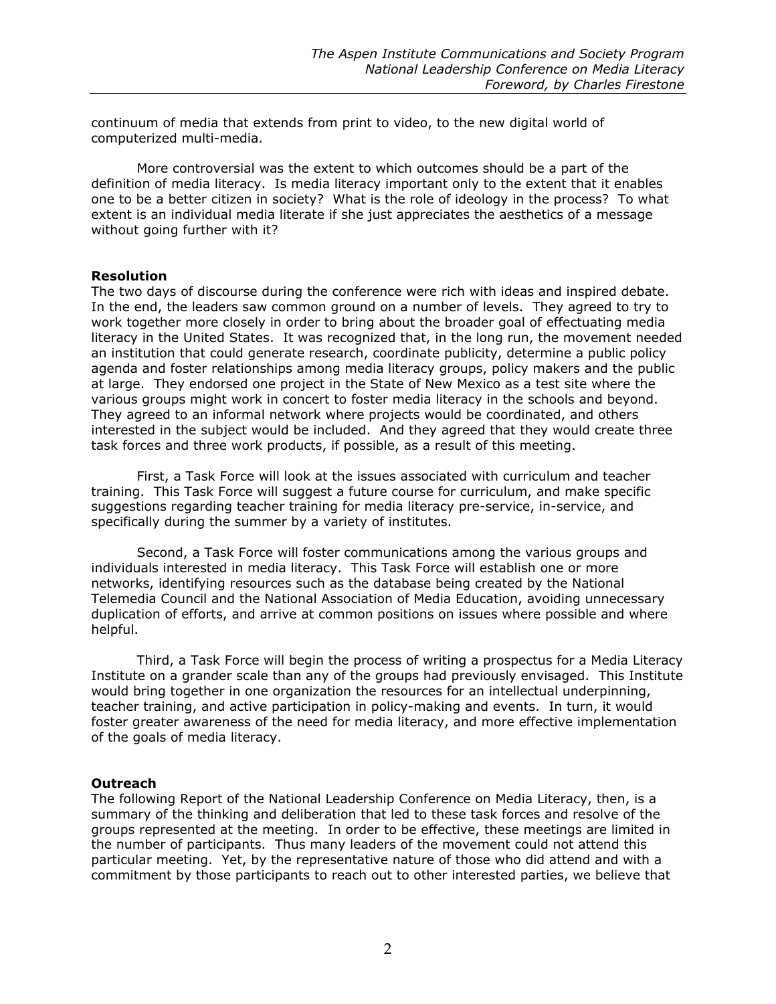continuum of media that extends from print to video, to the new digital world of computerized multi-media.

More controversial was the extent to which outcomes should be a part of the definition of media literacy. Is media literacy important only to the extent that it enables one to be a better citizen in society? What is the role of ideology in the process? To what extent is an individual media literate if she just appreciates the aesthetics of a message without going further with it?

### **Resolution**

The two days of discourse during the conference were rich with ideas and inspired debate. In the end, the leaders saw common ground on a number of levels. They agreed to try to work together more closely in order to bring about the broader goal of effectuating media literacy in the United States. It was recognized that, in the long run, the movement needed an institution that could generate research, coordinate publicity, determine a public policy agenda and foster relationships among media literacy groups, policy makers and the public at large. They endorsed one project in the State of New Mexico as a test site where the various groups might work in concert to foster media literacy in the schools and beyond. They agreed to an informal network where projects would be coordinated, and others interested in the subject would be included. And they agreed that they would create three task forces and three work products, if possible, as a result of this meeting.

First, a Task Force will look at the issues associated with curriculum and teacher training. This Task Force will suggest a future course for curriculum, and make specific suggestions regarding teacher training for media literacy pre-service, in-service, and specifically during the summer by a variety of institutes.

Second, a Task Force will foster communications among the various groups and individuals interested in media literacy. This Task Force will establish one or more networks, identifying resources such as the database being created by the National Telemedia Council and the National Association of Media Education, avoiding unnecessary duplication of efforts, and arrive at common positions on issues where possible and where helpful.

Third, a Task Force will begin the process of writing a prospectus for a Media Literacy Institute on a grander scale than any of the groups had previously envisaged. This Institute would bring together in one organization the resources for an intellectual underpinning, teacher training, and active participation in policy-making and events. In turn, it would foster greater awareness of the need for media literacy, and more effective implementation of the goals of media literacy.

## **Outreach**

The following Report of the National Leadership Conference on Media Literacy, then, is a summary of the thinking and deliberation that led to these task forces and resolve of the groups represented at the meeting. In order to be effective, these meetings are limited in the number of participants. Thus many leaders of the movement could not attend this particular meeting. Yet, by the representative nature of those who did attend and with a commitment by those participants to reach out to other interested parties, we believe that